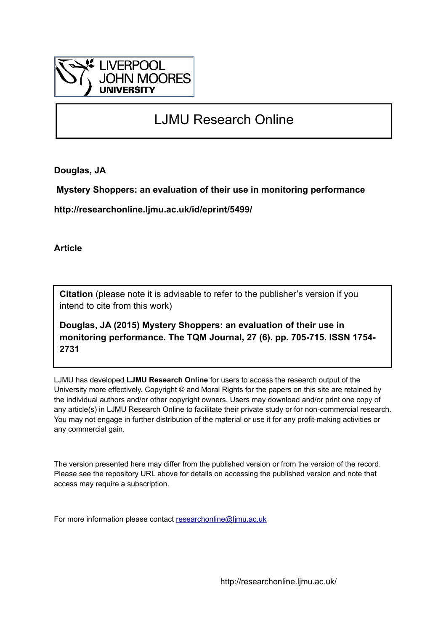

# LJMU Research Online

**Douglas, JA**

 **Mystery Shoppers: an evaluation of their use in monitoring performance**

**http://researchonline.ljmu.ac.uk/id/eprint/5499/**

**Article**

**Citation** (please note it is advisable to refer to the publisher's version if you intend to cite from this work)

**Douglas, JA (2015) Mystery Shoppers: an evaluation of their use in monitoring performance. The TQM Journal, 27 (6). pp. 705-715. ISSN 1754- 2731** 

LJMU has developed **[LJMU Research Online](http://researchonline.ljmu.ac.uk/)** for users to access the research output of the University more effectively. Copyright © and Moral Rights for the papers on this site are retained by the individual authors and/or other copyright owners. Users may download and/or print one copy of any article(s) in LJMU Research Online to facilitate their private study or for non-commercial research. You may not engage in further distribution of the material or use it for any profit-making activities or any commercial gain.

The version presented here may differ from the published version or from the version of the record. Please see the repository URL above for details on accessing the published version and note that access may require a subscription.

For more information please contact [researchonline@ljmu.ac.uk](mailto:researchonline@ljmu.ac.uk)

http://researchonline.ljmu.ac.uk/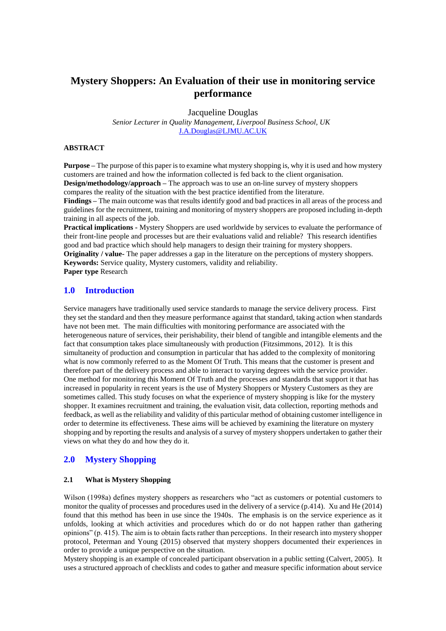# **Mystery Shoppers: An Evaluation of their use in monitoring service performance**

Jacqueline Douglas

*Senior Lecturer in Quality Management, Liverpool Business School, UK* [J.A.Douglas@LJMU.AC.UK](mailto:J.A.Douglas@LJMU.AC.UK)

#### **ABSTRACT**

**Purpose** – The purpose of this paper is to examine what mystery shopping is, why it is used and how mystery customers are trained and how the information collected is fed back to the client organisation. **Design/methodology/approach –** The approach was to use an on-line survey of mystery shoppers compares the reality of the situation with the best practice identified from the literature.

**Findings –** The main outcome was that results identify good and bad practices in all areas of the process and guidelines for the recruitment, training and monitoring of mystery shoppers are proposed including in-depth training in all aspects of the job.

**Practical implications -** Mystery Shoppers are used worldwide by services to evaluate the performance of their front-line people and processes but are their evaluations valid and reliable? This research identifies good and bad practice which should help managers to design their training for mystery shoppers.

**Originality / value-** The paper addresses a gap in the literature on the perceptions of mystery shoppers. **Keywords:** Service quality, Mystery customers, validity and reliability.

**Paper type** Research

## **1.0 Introduction**

Service managers have traditionally used service standards to manage the service delivery process. First they set the standard and then they measure performance against that standard, taking action when standards have not been met. The main difficulties with monitoring performance are associated with the heterogeneous nature of services, their perishability, their blend of tangible and intangible elements and the fact that consumption takes place simultaneously with production (Fitzsimmons, 2012). It is this simultaneity of production and consumption in particular that has added to the complexity of monitoring what is now commonly referred to as the Moment Of Truth. This means that the customer is present and therefore part of the delivery process and able to interact to varying degrees with the service provider. One method for monitoring this Moment Of Truth and the processes and standards that support it that has increased in popularity in recent years is the use of Mystery Shoppers or Mystery Customers as they are sometimes called. This study focuses on what the experience of mystery shopping is like for the mystery shopper. It examines recruitment and training, the evaluation visit, data collection, reporting methods and feedback, as well as the reliability and validity of this particular method of obtaining customer intelligence in order to determine its effectiveness. These aims will be achieved by examining the literature on mystery shopping and by reporting the results and analysis of a survey of mystery shoppers undertaken to gather their views on what they do and how they do it.

# **2.0 Mystery Shopping**

#### **2.1 What is Mystery Shopping**

Wilson (1998a) defines mystery shoppers as researchers who "act as customers or potential customers to monitor the quality of processes and procedures used in the delivery of a service (p.414). Xu and He (2014) found that this method has been in use since the 1940s. The emphasis is on the service experience as it unfolds, looking at which activities and procedures which do or do not happen rather than gathering opinions" (p. 415). The aim is to obtain facts rather than perceptions. In their research into mystery shopper protocol, Peterman and Young (2015) observed that mystery shoppers documented their experiences in order to provide a unique perspective on the situation.

Mystery shopping is an example of concealed participant observation in a public setting (Calvert, 2005). It uses a structured approach of checklists and codes to gather and measure specific information about service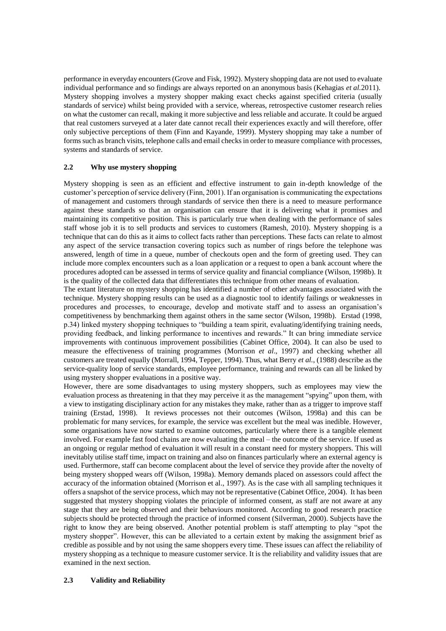performance in everyday encounters (Grove and Fisk, 1992). Mystery shopping data are not used to evaluate individual performance and so findings are always reported on an anonymous basis (Kehagias *et al.*2011). Mystery shopping involves a mystery shopper making exact checks against specified criteria (usually standards of service) whilst being provided with a service, whereas, retrospective customer research relies on what the customer can recall, making it more subjective and less reliable and accurate. It could be argued that real customers surveyed at a later date cannot recall their experiences exactly and will therefore, offer only subjective perceptions of them (Finn and Kayande, 1999). Mystery shopping may take a number of forms such as branch visits, telephone calls and email checks in order to measure compliance with processes, systems and standards of service.

#### **2.2 Why use mystery shopping**

Mystery shopping is seen as an efficient and effective instrument to gain in-depth knowledge of the customer's perception of service delivery (Finn, 2001). If an organisation is communicating the expectations of management and customers through standards of service then there is a need to measure performance against these standards so that an organisation can ensure that it is delivering what it promises and maintaining its competitive position. This is particularly true when dealing with the performance of sales staff whose job it is to sell products and services to customers (Ramesh, 2010). Mystery shopping is a technique that can do this as it aims to collect facts rather than perceptions. These facts can relate to almost any aspect of the service transaction covering topics such as number of rings before the telephone was answered, length of time in a queue, number of checkouts open and the form of greeting used. They can include more complex encounters such as a loan application or a request to open a bank account where the procedures adopted can be assessed in terms of service quality and financial compliance (Wilson, 1998b). It is the quality of the collected data that differentiates this technique from other means of evaluation.

The extant literature on mystery shopping has identified a number of other advantages associated with the technique. Mystery shopping results can be used as a diagnostic tool to identify failings or weaknesses in procedures and processes, to encourage, develop and motivate staff and to assess an organisation's competitiveness by benchmarking them against others in the same sector (Wilson, 1998b). Erstad (1998, p.34) linked mystery shopping techniques to "building a team spirit, evaluating/identifying training needs, providing feedback, and linking performance to incentives and rewards." It can bring immediate service improvements with continuous improvement possibilities (Cabinet Office, 2004). It can also be used to measure the effectiveness of training programmes (Morrison *et al*., 1997) and checking whether all customers are treated equally (Morrall, 1994, Tepper, 1994). Thus, what Berry *et al.*, (1988) describe as the service-quality loop of service standards, employee performance, training and rewards can all be linked by using mystery shopper evaluations in a positive way.

However, there are some disadvantages to using mystery shoppers, such as employees may view the evaluation process as threatening in that they may perceive it as the management "spying" upon them, with a view to instigating disciplinary action for any mistakes they make, rather than as a trigger to improve staff training (Erstad, 1998). It reviews processes not their outcomes (Wilson, 1998a) and this can be problematic for many services, for example, the service was excellent but the meal was inedible. However, some organisations have now started to examine outcomes, particularly where there is a tangible element involved. For example fast food chains are now evaluating the meal – the outcome of the service. If used as an ongoing or regular method of evaluation it will result in a constant need for mystery shoppers. This will inevitably utilise staff time, impact on training and also on finances particularly where an external agency is used. Furthermore, staff can become complacent about the level of service they provide after the novelty of being mystery shopped wears off (Wilson, 1998a). Memory demands placed on assessors could affect the accuracy of the information obtained (Morrison et al., 1997). As is the case with all sampling techniques it offers a snapshot of the service process, which may not be representative (Cabinet Office, 2004). It has been suggested that mystery shopping violates the principle of informed consent, as staff are not aware at any stage that they are being observed and their behaviours monitored. According to good research practice subjects should be protected through the practice of informed consent (Silverman, 2000). Subjects have the right to know they are being observed. Another potential problem is staff attempting to play "spot the mystery shopper". However, this can be alleviated to a certain extent by making the assignment brief as credible as possible and by not using the same shoppers every time. These issues can affect the reliability of mystery shopping as a technique to measure customer service. It is the reliability and validity issues that are examined in the next section.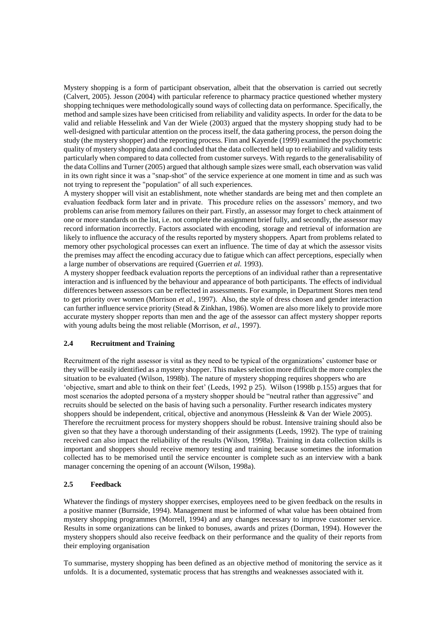Mystery shopping is a form of participant observation, albeit that the observation is carried out secretly (Calvert, 2005). Jesson (2004) with particular reference to pharmacy practice questioned whether mystery shopping techniques were methodologically sound ways of collecting data on performance. Specifically, the method and sample sizes have been criticised from reliability and validity aspects. In order for the data to be valid and reliable Hesselink and Van der Wiele (2003) argued that the mystery shopping study had to be well-designed with particular attention on the process itself, the data gathering process, the person doing the study (the mystery shopper) and the reporting process. Finn and Kayende (1999) examined the psychometric quality of mystery shopping data and concluded that the data collected held up to reliability and validity tests particularly when compared to data collected from customer surveys. With regards to the generalisability of the data Collins and Turner (2005) argued that although sample sizes were small, each observation was valid in its own right since it was a "snap-shot" of the service experience at one moment in time and as such was not trying to represent the "population" of all such experiences.

A mystery shopper will visit an establishment, note whether standards are being met and then complete an evaluation feedback form later and in private. This procedure relies on the assessors' memory, and two problems can arise from memory failures on their part. Firstly, an assessor may forget to check attainment of one or more standards on the list, i.e. not complete the assignment brief fully, and secondly, the assessor may record information incorrectly. Factors associated with encoding, storage and retrieval of information are likely to influence the accuracy of the results reported by mystery shoppers. Apart from problems related to memory other psychological processes can exert an influence. The time of day at which the assessor visits the premises may affect the encoding accuracy due to fatigue which can affect perceptions, especially when a large number of observations are required (Guerrien *et al.* 1993).

A mystery shopper feedback evaluation reports the perceptions of an individual rather than a representative interaction and is influenced by the behaviour and appearance of both participants. The effects of individual differences between assessors can be reflected in assessments. For example, in Department Stores men tend to get priority over women (Morrison *et al.*, 1997). Also, the style of dress chosen and gender interaction can further influence service priority (Stead & Zinkhan, 1986). Women are also more likely to provide more accurate mystery shopper reports than men and the age of the assessor can affect mystery shopper reports with young adults being the most reliable (Morrison, *et al.*, 1997).

#### **2.4 Recruitment and Training**

Recruitment of the right assessor is vital as they need to be typical of the organizations' customer base or they will be easily identified as a mystery shopper. This makes selection more difficult the more complex the situation to be evaluated (Wilson, 1998b). The nature of mystery shopping requires shoppers who are 'objective, smart and able to think on their feet' (Leeds, 1992 p 25). Wilson (1998b p.155) argues that for most scenarios the adopted persona of a mystery shopper should be "neutral rather than aggressive" and recruits should be selected on the basis of having such a personality. Further research indicates mystery shoppers should be independent, critical, objective and anonymous (Hessleink & Van der Wiele 2005). Therefore the recruitment process for mystery shoppers should be robust. Intensive training should also be given so that they have a thorough understanding of their assignments (Leeds, 1992). The type of training received can also impact the reliability of the results (Wilson, 1998a). Training in data collection skills is important and shoppers should receive memory testing and training because sometimes the information collected has to be memorised until the service encounter is complete such as an interview with a bank manager concerning the opening of an account (Wilson, 1998a).

#### **2.5 Feedback**

Whatever the findings of mystery shopper exercises, employees need to be given feedback on the results in a positive manner (Burnside, 1994). Management must be informed of what value has been obtained from mystery shopping programmes (Morrell, 1994) and any changes necessary to improve customer service. Results in some organizations can be linked to bonuses, awards and prizes (Dorman, 1994). However the mystery shoppers should also receive feedback on their performance and the quality of their reports from their employing organisation

To summarise, mystery shopping has been defined as an objective method of monitoring the service as it unfolds. It is a documented, systematic process that has strengths and weaknesses associated with it.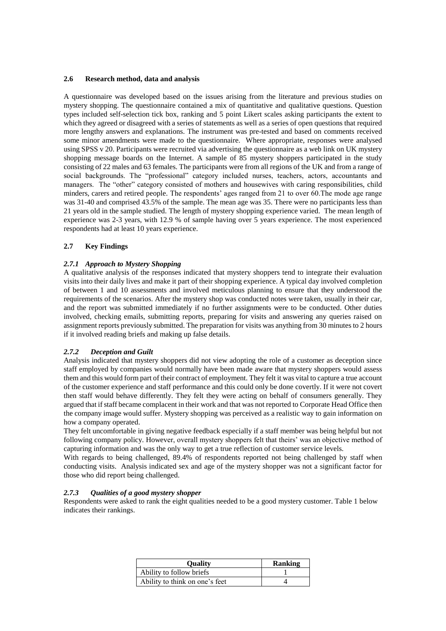#### **2.6 Research method, data and analysis**

A questionnaire was developed based on the issues arising from the literature and previous studies on mystery shopping. The questionnaire contained a mix of quantitative and qualitative questions. Question types included self-selection tick box, ranking and 5 point Likert scales asking participants the extent to which they agreed or disagreed with a series of statements as well as a series of open questions that required more lengthy answers and explanations. The instrument was pre-tested and based on comments received some minor amendments were made to the questionnaire. Where appropriate, responses were analysed using SPSS v 20. Participants were recruited via advertising the questionnaire as a web link on UK mystery shopping message boards on the Internet. A sample of 85 mystery shoppers participated in the study consisting of 22 males and 63 females. The participants were from all regions of the UK and from a range of social backgrounds. The "professional" category included nurses, teachers, actors, accountants and managers. The "other" category consisted of mothers and housewives with caring responsibilities, child minders, carers and retired people. The respondents' ages ranged from 21 to over 60.The mode age range was 31-40 and comprised 43.5% of the sample. The mean age was 35. There were no participants less than 21 years old in the sample studied. The length of mystery shopping experience varied. The mean length of experience was 2-3 years, with 12.9 % of sample having over 5 years experience. The most experienced respondents had at least 10 years experience.

#### **2.7 Key Findings**

#### *2.7.1 Approach to Mystery Shopping*

A qualitative analysis of the responses indicated that mystery shoppers tend to integrate their evaluation visits into their daily lives and make it part of their shopping experience. A typical day involved completion of between 1 and 10 assessments and involved meticulous planning to ensure that they understood the requirements of the scenarios. After the mystery shop was conducted notes were taken, usually in their car, and the report was submitted immediately if no further assignments were to be conducted. Other duties involved, checking emails, submitting reports, preparing for visits and answering any queries raised on assignment reports previously submitted. The preparation for visits was anything from 30 minutes to 2 hours if it involved reading briefs and making up false details.

#### *2.7.2 Deception and Guilt*

Analysis indicated that mystery shoppers did not view adopting the role of a customer as deception since staff employed by companies would normally have been made aware that mystery shoppers would assess them and this would form part of their contract of employment. They felt it was vital to capture a true account of the customer experience and staff performance and this could only be done covertly. If it were not covert then staff would behave differently. They felt they were acting on behalf of consumers generally. They argued that if staff became complacent in their work and that was not reported to Corporate Head Office then the company image would suffer. Mystery shopping was perceived as a realistic way to gain information on how a company operated.

They felt uncomfortable in giving negative feedback especially if a staff member was being helpful but not following company policy. However, overall mystery shoppers felt that theirs' was an objective method of capturing information and was the only way to get a true reflection of customer service levels.

With regards to being challenged, 89.4% of respondents reported not being challenged by staff when conducting visits. Analysis indicated sex and age of the mystery shopper was not a significant factor for those who did report being challenged.

## *2.7.3 Qualities of a good mystery shopper*

Respondents were asked to rank the eight qualities needed to be a good mystery customer. Table 1 below indicates their rankings.

| <b>Ouality</b>                 | <b>Ranking</b> |
|--------------------------------|----------------|
| Ability to follow briefs       |                |
| Ability to think on one's feet |                |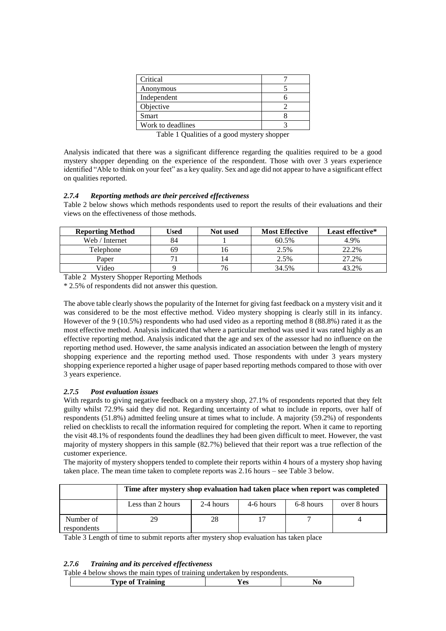| Critical          |  |
|-------------------|--|
| Anonymous         |  |
| Independent       |  |
| Objective         |  |
| <b>Smart</b>      |  |
| Work to deadlines |  |

Table 1 Qualities of a good mystery shopper

Analysis indicated that there was a significant difference regarding the qualities required to be a good mystery shopper depending on the experience of the respondent. Those with over 3 years experience identified "Able to think on your feet" as a key quality. Sex and age did not appear to have a significant effect on qualities reported.

#### *2.7.4 Reporting methods are their perceived effectiveness*

Table 2 below shows which methods respondents used to report the results of their evaluations and their views on the effectiveness of those methods.

| <b>Reporting Method</b> | Used | Not used | <b>Most Effective</b> | Least effective* |
|-------------------------|------|----------|-----------------------|------------------|
| Web / Internet          | 84   |          | 60.5%                 | 4.9%             |
| Telephone               | 69   |          | 2.5%                  | 22.2%            |
| Paper                   |      |          | 2.5%                  | 27.2%            |
| Video                   |      |          | 34.5%                 | 43.2%            |

Table 2 Mystery Shopper Reporting Methods

\* 2.5% of respondents did not answer this question.

The above table clearly shows the popularity of the Internet for giving fast feedback on a mystery visit and it was considered to be the most effective method. Video mystery shopping is clearly still in its infancy. However of the 9 (10.5%) respondents who had used video as a reporting method 8 (88.8%) rated it as the most effective method. Analysis indicated that where a particular method was used it was rated highly as an effective reporting method. Analysis indicated that the age and sex of the assessor had no influence on the reporting method used. However, the same analysis indicated an association between the length of mystery shopping experience and the reporting method used. Those respondents with under 3 years mystery shopping experience reported a higher usage of paper based reporting methods compared to those with over 3 years experience.

# *2.7.5 Post evaluation issues*

With regards to giving negative feedback on a mystery shop, 27.1% of respondents reported that they felt guilty whilst 72.9% said they did not. Regarding uncertainty of what to include in reports, over half of respondents (51.8%) admitted feeling unsure at times what to include. A majority (59.2%) of respondents relied on checklists to recall the information required for completing the report. When it came to reporting the visit 48.1% of respondents found the deadlines they had been given difficult to meet. However, the vast majority of mystery shoppers in this sample (82.7%) believed that their report was a true reflection of the customer experience.

The majority of mystery shoppers tended to complete their reports within 4 hours of a mystery shop having taken place. The mean time taken to complete reports was 2.16 hours – see Table 3 below.

|                          | Time after mystery shop evaluation had taken place when report was completed |           |           |           |              |
|--------------------------|------------------------------------------------------------------------------|-----------|-----------|-----------|--------------|
|                          | Less than 2 hours                                                            | 2-4 hours | 4-6 hours | 6-8 hours | over 8 hours |
| Number of<br>respondents | 29                                                                           |           |           |           |              |

Table 3 Length of time to submit reports after mystery shop evaluation has taken place

# *2.7.6 Training and its perceived effectiveness*

Table 4 below shows the main types of training undertaken by respondents.

| ''vne of<br>Training<br>۵ς | гаото – осном зному ию піані гуроз от папінне анастіакон о у гозронасню. |  |  |  |  |
|----------------------------|--------------------------------------------------------------------------|--|--|--|--|
|                            |                                                                          |  |  |  |  |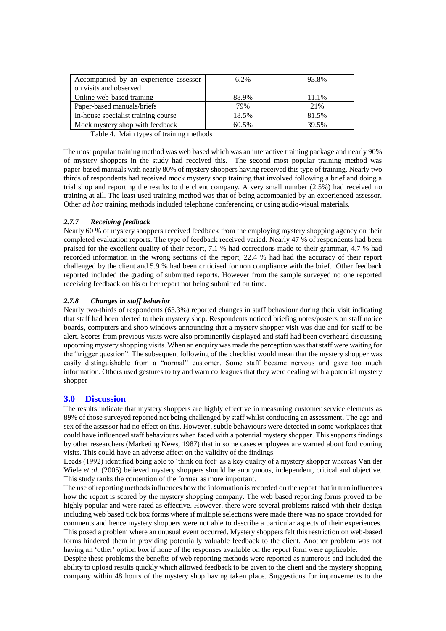| Accompanied by an experience assessor<br>on visits and observed | $6.2\%$ | 93.8% |
|-----------------------------------------------------------------|---------|-------|
| Online web-based training                                       | 88.9%   | 11.1% |
| Paper-based manuals/briefs                                      | 79%     | 21%   |
| In-house specialist training course                             | 18.5%   | 81.5% |
| Mock mystery shop with feedback                                 | 60.5%   | 39.5% |

Table 4. Main types of training methods

The most popular training method was web based which was an interactive training package and nearly 90% of mystery shoppers in the study had received this. The second most popular training method was paper-based manuals with nearly 80% of mystery shoppers having received this type of training. Nearly two thirds of respondents had received mock mystery shop training that involved following a brief and doing a trial shop and reporting the results to the client company. A very small number (2.5%) had received no training at all. The least used training method was that of being accompanied by an experienced assessor. Other *ad hoc* training methods included telephone conferencing or using audio-visual materials.

# *2.7.7 Receiving feedback*

Nearly 60 % of mystery shoppers received feedback from the employing mystery shopping agency on their completed evaluation reports. The type of feedback received varied. Nearly 47 % of respondents had been praised for the excellent quality of their report, 7.1 % had corrections made to their grammar, 4.7 % had recorded information in the wrong sections of the report, 22.4 % had had the accuracy of their report challenged by the client and 5.9 % had been criticised for non compliance with the brief. Other feedback reported included the grading of submitted reports. However from the sample surveyed no one reported receiving feedback on his or her report not being submitted on time.

# *2.7.8 Changes in staff behavior*

Nearly two-thirds of respondents (63.3%) reported changes in staff behaviour during their visit indicating that staff had been alerted to their mystery shop. Respondents noticed briefing notes/posters on staff notice boards, computers and shop windows announcing that a mystery shopper visit was due and for staff to be alert. Scores from previous visits were also prominently displayed and staff had been overheard discussing upcoming mystery shopping visits. When an enquiry was made the perception was that staff were waiting for the "trigger question". The subsequent following of the checklist would mean that the mystery shopper was easily distinguishable from a "normal" customer. Some staff became nervous and gave too much information. Others used gestures to try and warn colleagues that they were dealing with a potential mystery shopper

# **3.0 Discussion**

The results indicate that mystery shoppers are highly effective in measuring customer service elements as 89% of those surveyed reported not being challenged by staff whilst conducting an assessment. The age and sex of the assessor had no effect on this. However, subtle behaviours were detected in some workplaces that could have influenced staff behaviours when faced with a potential mystery shopper. This supports findings by other researchers (Marketing News, 1987) that in some cases employees are warned about forthcoming visits. This could have an adverse affect on the validity of the findings.

Leeds (1992) identified being able to 'think on feet' as a key quality of a mystery shopper whereas Van der Wiele *et al.* (2005) believed mystery shoppers should be anonymous, independent, critical and objective. This study ranks the contention of the former as more important.

The use of reporting methods influences how the information is recorded on the report that in turn influences how the report is scored by the mystery shopping company. The web based reporting forms proved to be highly popular and were rated as effective. However, there were several problems raised with their design including web based tick box forms where if multiple selections were made there was no space provided for comments and hence mystery shoppers were not able to describe a particular aspects of their experiences. This posed a problem where an unusual event occurred. Mystery shoppers felt this restriction on web-based forms hindered them in providing potentially valuable feedback to the client. Another problem was not having an 'other' option box if none of the responses available on the report form were applicable.

Despite these problems the benefits of web reporting methods were reported as numerous and included the ability to upload results quickly which allowed feedback to be given to the client and the mystery shopping company within 48 hours of the mystery shop having taken place. Suggestions for improvements to the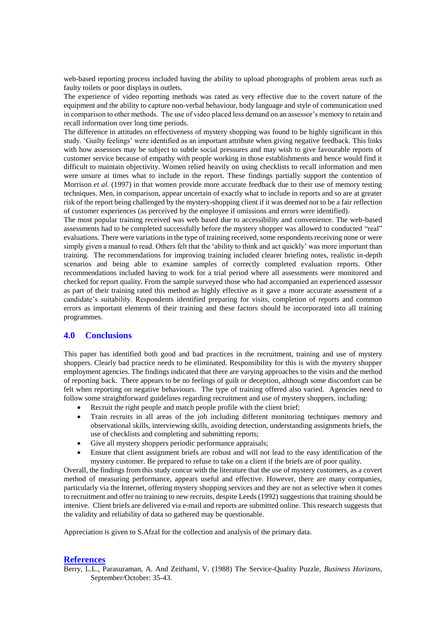web-based reporting process included having the ability to upload photographs of problem areas such as faulty toilets or poor displays in outlets.

The experience of video reporting methods was rated as very effective due to the covert nature of the equipment and the ability to capture non-verbal behaviour, body language and style of communication used in comparison to other methods. The use of video placed less demand on an assessor's memory to retain and recall information over long time periods.

The difference in attitudes on effectiveness of mystery shopping was found to be highly significant in this study. 'Guilty feelings' were identified as an important attribute when giving negative feedback. This links with how assessors may be subject to subtle social pressures and may wish to give favourable reports of customer service because of empathy with people working in those establishments and hence would find it difficult to maintain objectivity. Women relied heavily on using checklists to recall information and men were unsure at times what to include in the report. These findings partially support the contention of Morrison *et al.* (1997) in that women provide more accurate feedback due to their use of memory testing techniques. Men, in comparison, appear uncertain of exactly what to include in reports and so are at greater risk of the report being challenged by the mystery-shopping client if it was deemed not to be a fair reflection of customer experiences (as perceived by the employee if omissions and errors were identified).

The most popular training received was web based due to accessibility and convenience. The web-based assessments had to be completed successfully before the mystery shopper was allowed to conducted "real" evaluations. There were variations in the type of training received, some respondents receiving none or were simply given a manual to read. Others felt that the 'ability to think and act quickly' was more important than training. The recommendations for improving training included clearer briefing notes, realistic in-depth scenarios and being able to examine samples of correctly completed evaluation reports. Other recommendations included having to work for a trial period where all assessments were monitored and checked for report quality. From the sample surveyed those who had accompanied an experienced assessor as part of their training rated this method as highly effective as it gave a more accurate assessment of a candidate's suitability. Respondents identified preparing for visits, completion of reports and common errors as important elements of their training and these factors should be incorporated into all training programmes.

# **4.0 Conclusions**

This paper has identified both good and bad practices in the recruitment, training and use of mystery shoppers. Clearly bad practice needs to be eliminated. Responsibility for this is with the mystery shopper employment agencies. The findings indicated that there are varying approaches to the visits and the method of reporting back. There appears to be no feelings of guilt or deception, although some discomfort can be felt when reporting on negative behaviours. The type of training offered also varied. Agencies need to follow some straightforward guidelines regarding recruitment and use of mystery shoppers, including:

- Recruit the right people and match people profile with the client brief;
- Train recruits in all areas of the job including different monitoring techniques memory and observational skills, interviewing skills, avoiding detection, understanding assignments briefs, the use of checklists and completing and submitting reports;
- Give all mystery shoppers periodic performance appraisals;
- Ensure that client assignment briefs are robust and will not lead to the easy identification of the mystery customer. Be prepared to refuse to take on a client if the briefs are of poor quality.

Overall, the findings from this study concur with the literature that the use of mystery customers, as a covert method of measuring performance, appears useful and effective. However, there are many companies, particularly via the Internet, offering mystery shopping services and they are not as selective when it comes to recruitment and offer no training to new recruits, despite Leeds (1992) suggestions that training should be intenive. Client briefs are delivered via e-mail and reports are submitted online. This research suggests that the validity and reliability of data so gathered may be questionable.

Appreciation is given to S.Afzal for the collection and analysis of the primary data.

# **References**

Berry, L.L., Parasuraman, A. And Zeithaml, V. (1988) The Service-Quality Puzzle, *Business Horizons*, September/October: 35-43.